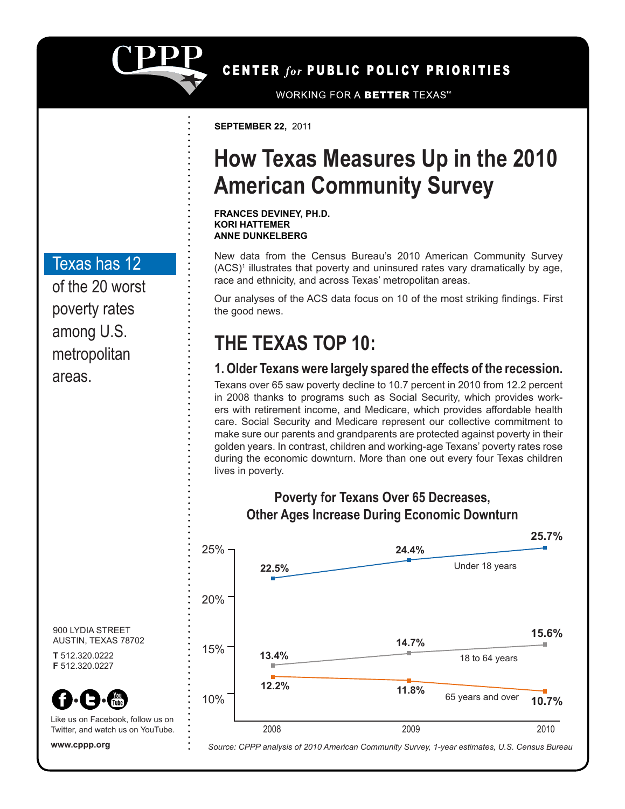

CENTER for PUBLIC POLICY PRIORITIES

**WORKING FOR A BETTER TEXAS™** 

**SEPTEMBER 22,** 2011

### **How Texas Measures Up in the 2010 American Community Survey**

**FRANCES DEVINEY, PH.D. KORI HATTEMER ANNE DUNKELBERG**

New data from the Census Bureau's 2010 American Community Survey (ACS)<sup>1</sup> illustrates that poverty and uninsured rates vary dramatically by age, race and ethnicity, and across Texas' metropolitan areas.

Our analyses of the ACS data focus on 10 of the most striking findings. First the good news.

### **THE TEXAS TOP 10:**

#### **1. Older Texans were largely spared the effects of the recession.**

Texans over 65 saw poverty decline to 10.7 percent in 2010 from 12.2 percent in 2008 thanks to programs such as Social Security, which provides workers with retirement income, and Medicare, which provides affordable health care. Social Security and Medicare represent our collective commitment to make sure our parents and grandparents are protected against poverty in their golden years. In contrast, children and working-age Texans' poverty rates rose during the economic downturn. More than one out every four Texas children lives in poverty.



**Other Ages Increase During Economic Downturn**

**Poverty for Texans Over 65 Decreases,**

Texas has 12

of the 20 worst poverty rates among U.S. metropolitan areas.



**T** 512.320.0222 **F** 512.320.0227



Like us on Facebook, follow us on Twitter, and watch us on YouTube.

**www.cppp.org**

*Source: CPPP analysis of 2010 American Community Survey, 1-year estimates, U.S. Census Bureau*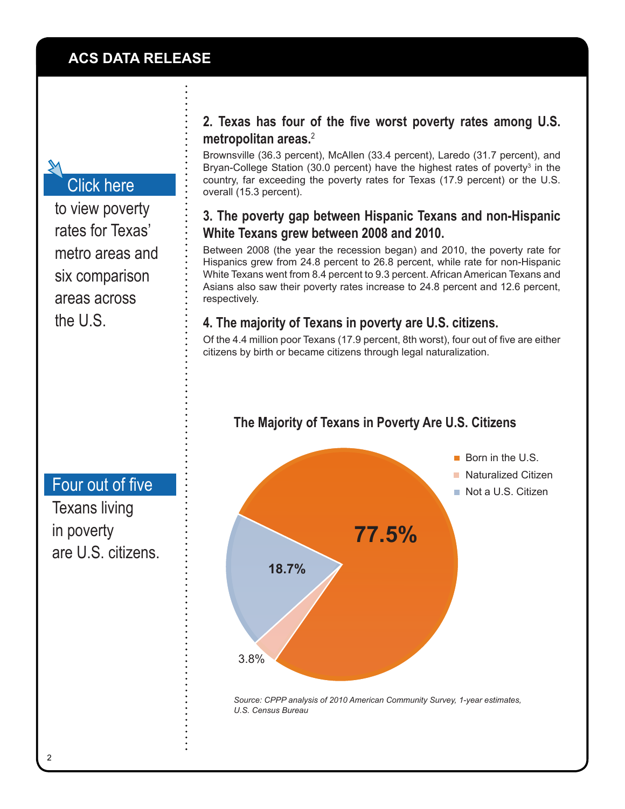### [Click here](http://www.cppp.org/files/ACS_PovertyTables.xls)

[to view poverty](http://www.cppp.org/files/ACS_PovertyTables.xls)  [rates for Texas'](http://www.cppp.org/files/ACS_PovertyTables.xls)  [metro areas and](http://www.cppp.org/files/ACS_PovertyTables.xls)  [six comparison](http://www.cppp.org/files/ACS_PovertyTables.xls)  [areas across](http://www.cppp.org/files/ACS_PovertyTables.xls)  [the U.S.](http://www.cppp.org/files/ACS_PovertyTables.xls)

#### **2. Texas has four of the five worst poverty rates among U.S. metropolitan areas.**<sup>2</sup>

Brownsville (36.3 percent), McAllen (33.4 percent), Laredo (31.7 percent), and Bryan-College Station (30.0 percent) have the highest rates of poverty<sup>3</sup> in the country, far exceeding the poverty rates for Texas (17.9 percent) or the U.S. overall (15.3 percent).

#### **3. The poverty gap between Hispanic Texans and non-Hispanic White Texans grew between 2008 and 2010.**

Between 2008 (the year the recession began) and 2010, the poverty rate for Hispanics grew from 24.8 percent to 26.8 percent, while rate for non-Hispanic White Texans went from 8.4 percent to 9.3 percent. African American Texans and Asians also saw their poverty rates increase to 24.8 percent and 12.6 percent, respectively.

#### **4. The majority of Texans in poverty are U.S. citizens.**

Of the 4.4 million poor Texans (17.9 percent, 8th worst), four out of five are either citizens by birth or became citizens through legal naturalization.

# $\blacksquare$  Born in the U.S. ■ Naturalized Citizen Not a U.S. Citizen **77.5% 18.7%** 3.8%

#### **The Majority of Texans in Poverty Are U.S. Citizens**

*Source: CPPP analysis of 2010 American Community Survey, 1-year estimates, U.S. Census Bureau*

### [Four out of five](http://cppp.org/research.php?aid=1110)

Texans living in poverty are U.S. citizens.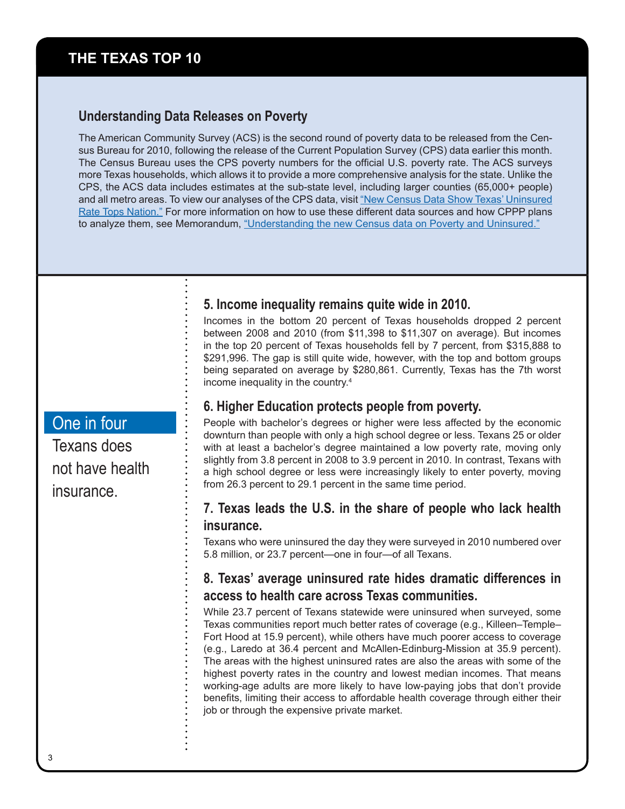#### **THE TEXAS TOP 10**

#### **Understanding Data Releases on Poverty**

The American Community Survey (ACS) is the second round of poverty data to be released from the Census Bureau for 2010, following the release of the Current Population Survey (CPS) data earlier this month. The Census Bureau uses the CPS poverty numbers for the official U.S. poverty rate. The ACS surveys more Texas households, which allows it to provide a more comprehensive analysis for the state. Unlike the CPS, the ACS data includes estimates at the sub-state level, including larger counties (65,000+ people) and all metro areas. To view our analyses of the CPS data, visit ["New Census Data Show Texas' Uninsured](http://www.cppp.org/research.php?aid=1134) [Rate Tops Nation."](http://www.cppp.org/research.php?aid=1134) For more information on how to use these different data sources and how CPPP plans to analyze them, see Memorandum, ["Understanding the new Census data on Poverty and Uninsured."](http://www.cppp.org/files/8/CPS_ACS_2011.pdf)

#### **5. Income inequality remains quite wide in 2010.**

Incomes in the bottom 20 percent of Texas households dropped 2 percent between 2008 and 2010 (from \$11,398 to \$11,307 on average). But incomes in the top 20 percent of Texas households fell by 7 percent, from \$315,888 to \$291,996. The gap is still quite wide, however, with the top and bottom groups being separated on average by \$280,861. Currently, Texas has the 7th worst income inequality in the country.4

#### **6. Higher Education protects people from poverty.**

People with bachelor's degrees or higher were less affected by the economic downturn than people with only a high school degree or less. Texans 25 or older with at least a bachelor's degree maintained a low poverty rate, moving only slightly from 3.8 percent in 2008 to 3.9 percent in 2010. In contrast, Texans with a high school degree or less were increasingly likely to enter poverty, moving from 26.3 percent to 29.1 percent in the same time period.

#### **7. Texas leads the U.S. in the share of people who lack health insurance.**

Texans who were uninsured the day they were surveyed in 2010 numbered over 5.8 million, or 23.7 percent—one in four—of all Texans.

#### **8. Texas' average uninsured rate hides dramatic differences in access to health care across Texas communities.**

While 23.7 percent of Texans statewide were uninsured when surveyed, some Texas communities report much better rates of coverage (e.g., Killeen–Temple– Fort Hood at 15.9 percent), while others have much poorer access to coverage (e.g., Laredo at 36.4 percent and McAllen-Edinburg-Mission at 35.9 percent). The areas with the highest uninsured rates are also the areas with some of the highest poverty rates in the country and lowest median incomes. That means working-age adults are more likely to have low-paying jobs that don't provide benefits, limiting their access to affordable health coverage through either their job or through the expensive private market.

#### One in four

Texans does not have health insurance.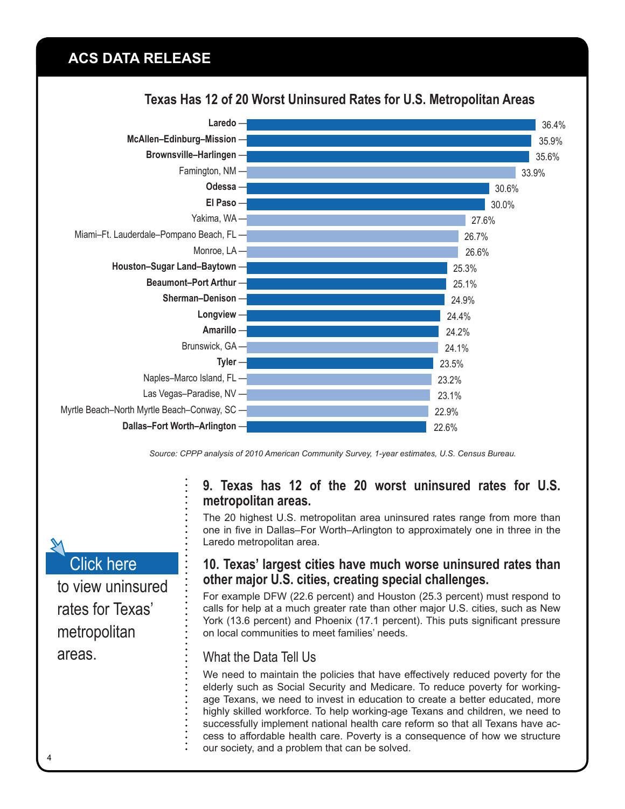#### **ACS DATA RELEASE**



#### **Texas Has 12 of 20 Worst Uninsured Rates for U.S. Metropolitan Areas**

*Source: CPPP analysis of 2010 American Community Survey, 1-year estimates, U.S. Census Bureau.*

#### **9. Texas has 12 of the 20 worst uninsured rates for U.S. metropolitan areas.**

The 20 highest U.S. metropolitan area uninsured rates range from more than one in five in Dallas–For Worth–Arlington to approximately one in three in the Laredo metropolitan area.

#### **10. Texas' largest cities have much worse uninsured rates than other major U.S. cities, creating special challenges.**

For example DFW (22.6 percent) and Houston (25.3 percent) must respond to calls for help at a much greater rate than other major U.S. cities, such as New York (13.6 percent) and Phoenix (17.1 percent). This puts significant pressure on local communities to meet families' needs.

#### What the Data Tell Us

We need to maintain the policies that have effectively reduced poverty for the elderly such as Social Security and Medicare. To reduce poverty for workingage Texans, we need to invest in education to create a better educated, more highly skilled workforce. To help working-age Texans and children, we need to successfully implement national health care reform so that all Texans have access to affordable health care. Poverty is a consequence of how we structure our society, and a problem that can be solved.

## [Click here](http://www.cppp.org/files/ACS_PovertyTables.xls)

[to view uninsured](http://www.cppp.org/files/ACS_PovertyTables.xls)  [rates for Texas'](http://www.cppp.org/files/ACS_PovertyTables.xls)  [metropolitan](http://www.cppp.org/files/ACS_PovertyTables.xls)  [areas.](http://www.cppp.org/files/ACS_PovertyTables.xls)